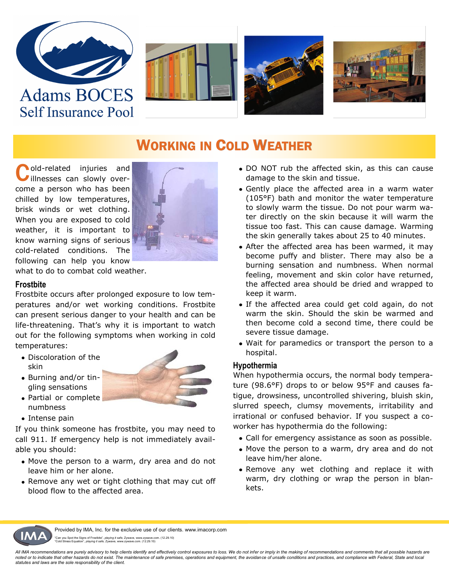







### WORKING IN COLD WEATHER

Cold-related injuries and<br>
illnesses can slowly overillnesses can slowly overcome a person who has been chilled by low temperatures, brisk winds or wet clothing. When you are exposed to cold weather, it is important to know warning signs of serious cold-related conditions. The following can help you know



what to do to combat cold weather.

#### **Frostbite**

Frostbite occurs after prolonged exposure to low temperatures and/or wet working conditions. Frostbite can present serious danger to your health and can be life-threatening. That's why it is important to watch out for the following symptoms when working in cold temperatures:

- Discoloration of the skin
- Burning and/or tingling sensations

• Partial or complete



numbness • Intense pain

If you think someone has frostbite, you may need to call 911. If emergency help is not immediately available you should:

- Move the person to a warm, dry area and do not leave him or her alone.
- Remove any wet or tight clothing that may cut off blood flow to the affected area.
- DO NOT rub the affected skin, as this can cause damage to the skin and tissue.
- Gently place the affected area in a warm water (105°F) bath and monitor the water temperature to slowly warm the tissue. Do not pour warm water directly on the skin because it will warm the tissue too fast. This can cause damage. Warming the skin generally takes about 25 to 40 minutes.
- After the affected area has been warmed, it may become puffy and blister. There may also be a burning sensation and numbness. When normal feeling, movement and skin color have returned, the affected area should be dried and wrapped to keep it warm.
- If the affected area could get cold again, do not warm the skin. Should the skin be warmed and then become cold a second time, there could be severe tissue damage.
- Wait for paramedics or transport the person to a hospital.

#### **Hypothermia**

When hypothermia occurs, the normal body temperature (98.6°F) drops to or below 95°F and causes fatigue, drowsiness, uncontrolled shivering, bluish skin, slurred speech, clumsy movements, irritability and irrational or confused behavior. If you suspect a coworker has hypothermia do the following:

- Call for emergency assistance as soon as possible.
- Move the person to a warm, dry area and do not leave him/her alone.
- Remove any wet clothing and replace it with warm, dry clothing or wrap the person in blankets.



Provided by IMA, Inc. for the exclusive use of our clients. www.imacorp.com "Can you Spot the Signs of Frostbite", *playing it safe,* Zywave, www.zywave.com. (12.29.10) "Cold Stress Equation", *playing it safe,* Zywave, www.zywave.com. (12.29.10)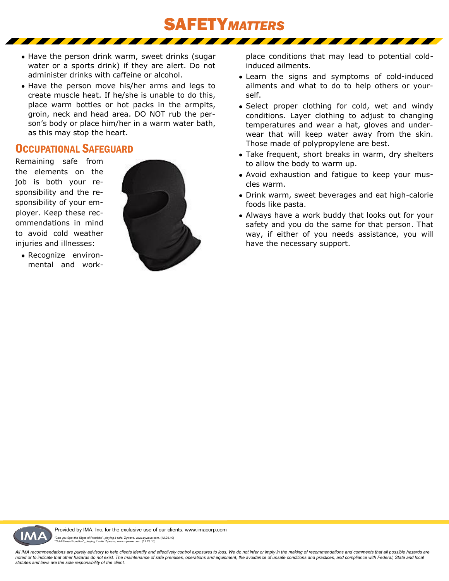

- Have the person drink warm, sweet drinks (sugar water or a sports drink) if they are alert. Do not administer drinks with caffeine or alcohol.
- Have the person move his/her arms and legs to create muscle heat. If he/she is unable to do this, place warm bottles or hot packs in the armpits, groin, neck and head area. DO NOT rub the person's body or place him/her in a warm water bath, as this may stop the heart.

#### OCCUPATIONAL SAFEGUARD

Remaining safe from the elements on the job is both your responsibility and the responsibility of your employer. Keep these recommendations in mind to avoid cold weather injuries and illnesses:



• Recognize environmental and work-

- place conditions that may lead to potential coldinduced ailments.
- Learn the signs and symptoms of cold-induced ailments and what to do to help others or yourself.
- Select proper clothing for cold, wet and windy conditions. Layer clothing to adjust to changing temperatures and wear a hat, gloves and underwear that will keep water away from the skin. Those made of polypropylene are best.
- Take frequent, short breaks in warm, dry shelters to allow the body to warm up.
- Avoid exhaustion and fatigue to keep your muscles warm.
- Drink warm, sweet beverages and eat high-calorie foods like pasta.
- Always have a work buddy that looks out for your safety and you do the same for that person. That way, if either of you needs assistance, you will have the necessary support.

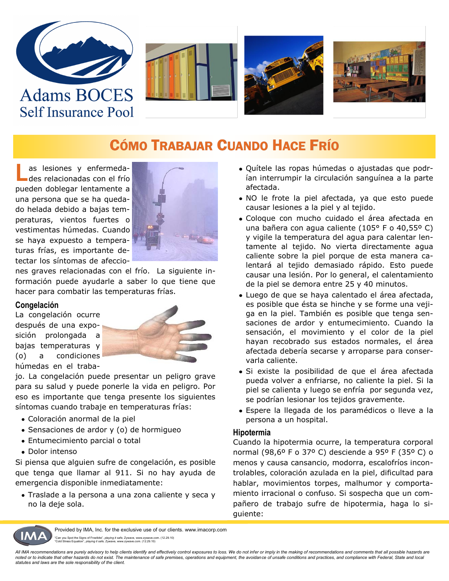







### CÓMO TRABAJAR CUANDO HACE FRÍO

L as lesiones y enfermedades relacionadas con el frío pueden doblegar lentamente a una persona que se ha quedado helada debido a bajas temperaturas, vientos fuertes o vestimentas húmedas. Cuando se haya expuesto a temperaturas frías, es importante detectar los síntomas de afeccio-



nes graves relacionadas con el frío. La siguiente información puede ayudarle a saber lo que tiene que hacer para combatir las temperaturas frías.

#### **Congelación**

La congelación ocurre después de una exposición prolongada a bajas temperaturas y (o) a condiciones húmedas en el traba-



jo. La congelación puede presentar un peligro grave para su salud y puede ponerle la vida en peligro. Por eso es importante que tenga presente los siguientes síntomas cuando trabaje en temperaturas frías:

- Coloración anormal de la piel
- Sensaciones de ardor y (o) de hormigueo
- Entumecimiento parcial o total
- Dolor intenso

Si piensa que alguien sufre de congelación, es posible que tenga que llamar al 911. Si no hay ayuda de emergencia disponible inmediatamente:

Traslade a la persona a una zona caliente y seca y no la deje sola.

- Quítele las ropas húmedas o ajustadas que podrían interrumpir la circulación sanguínea a la parte afectada.
- NO le frote la piel afectada, ya que esto puede causar lesiones a la piel y al tejido.
- Coloque con mucho cuidado el área afectada en una bañera con agua caliente (105° F o 40,55º C) y vigile la temperatura del agua para calentar lentamente al tejido. No vierta directamente agua caliente sobre la piel porque de esta manera calentará al tejido demasiado rápido. Esto puede causar una lesión. Por lo general, el calentamiento de la piel se demora entre 25 y 40 minutos.
- Luego de que se haya calentado el área afectada, es posible que ésta se hinche y se forme una vejiga en la piel. También es posible que tenga sensaciones de ardor y entumecimiento. Cuando la sensación, el movimiento y el color de la piel hayan recobrado sus estados normales, el área afectada debería secarse y arroparse para conservarla caliente.
- Si existe la posibilidad de que el área afectada pueda volver a enfriarse, no caliente la piel. Si la piel se calienta y luego se enfría por segunda vez, se podrían lesionar los tejidos gravemente.
- Espere la llegada de los paramédicos o lleve a la persona a un hospital.

#### **Hipotermia**

Cuando la hipotermia ocurre, la temperatura corporal normal (98,6º F o 37º C) desciende a 95º F (35º C) o menos y causa cansancio, modorra, escalofríos incontrolables, coloración azulada en la piel, dificultad para hablar, movimientos torpes, malhumor y comportamiento irracional o confuso. Si sospecha que un compañero de trabajo sufre de hipotermia, haga lo siguiente:



Provided by IMA, Inc. for the exclusive use of our clients. www.imacorp.com "Can you Spot the Signs of Frostbite", *playing it safe,* Zywave, www.zywave.com. (12.29.10) "Cold Stress Equation", *playing it safe,* Zywave, www.zywave.com. (12.29.10)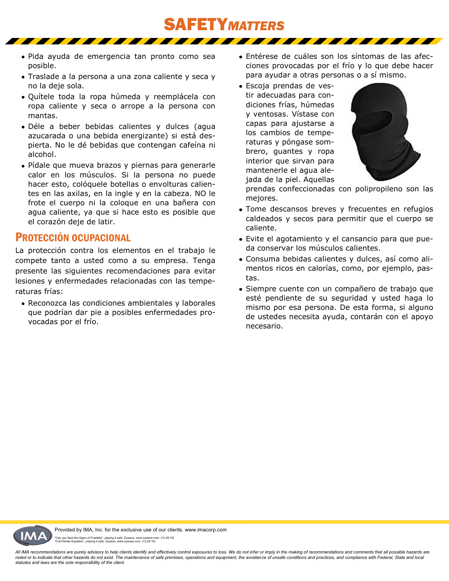Pida ayuda de emergencia tan pronto como sea posible.

- Traslade a la persona a una zona caliente y seca y no la deje sola.
- Quítele toda la ropa húmeda y reemplácela con ropa caliente y seca o arrope a la persona con mantas.
- Déle a beber bebidas calientes y dulces (agua azucarada o una bebida energizante) si está despierta. No le dé bebidas que contengan cafeína ni alcohol.
- Pídale que mueva brazos y piernas para generarle calor en los músculos. Si la persona no puede hacer esto, colóquele botellas o envolturas calientes en las axilas, en la ingle y en la cabeza. NO le frote el cuerpo ni la coloque en una bañera con agua caliente, ya que si hace esto es posible que el corazón deje de latir.

#### PROTECCIÓN OCUPACIONAL

La protección contra los elementos en el trabajo le compete tanto a usted como a su empresa. Tenga presente las siguientes recomendaciones para evitar lesiones y enfermedades relacionadas con las temperaturas frías:

Reconozca las condiciones ambientales y laborales que podrían dar pie a posibles enfermedades provocadas por el frío.

- Entérese de cuáles son los síntomas de las afecciones provocadas por el frío y lo que debe hacer para ayudar a otras personas o a sí mismo.
- Escoja prendas de vestir adecuadas para condiciones frías, húmedas y ventosas. Vístase con capas para ajustarse a los cambios de temperaturas y póngase sombrero, guantes y ropa interior que sirvan para mantenerle el agua alejada de la piel. Aquellas

SAFETY*MATTERS*



prendas confeccionadas con polipropileno son las mejores.

- Tome descansos breves y frecuentes en refugios caldeados y secos para permitir que el cuerpo se caliente.
- Evite el agotamiento y el cansancio para que pueda conservar los músculos calientes.
- Consuma bebidas calientes y dulces, así como alimentos ricos en calorías, como, por ejemplo, pastas.
- Siempre cuente con un compañero de trabajo que esté pendiente de su seguridad y usted haga lo mismo por esa persona. De esta forma, si alguno de ustedes necesita ayuda, contarán con el apoyo necesario.

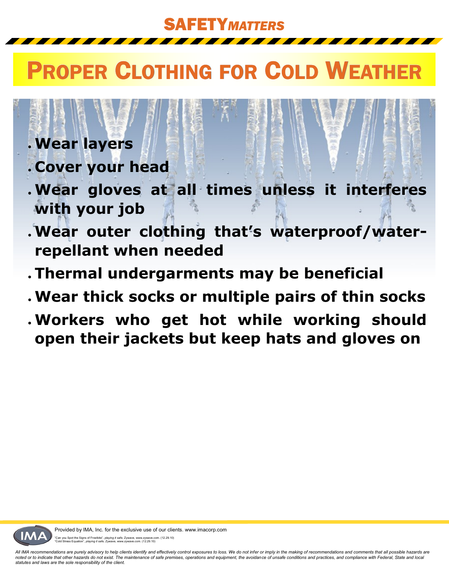SAFETY*MATTERS*

# PROPER CLOTHING FOR COLD WEATHER

## **Wear layers**

- **Cover your head**
- **Wear gloves at all times unless it interferes with your job**
- **Wear outer clothing that's waterproof/waterrepellant when needed**
- **Thermal undergarments may be beneficial**
- **Wear thick socks or multiple pairs of thin socks**
- **Workers who get hot while working should open their jackets but keep hats and gloves on**

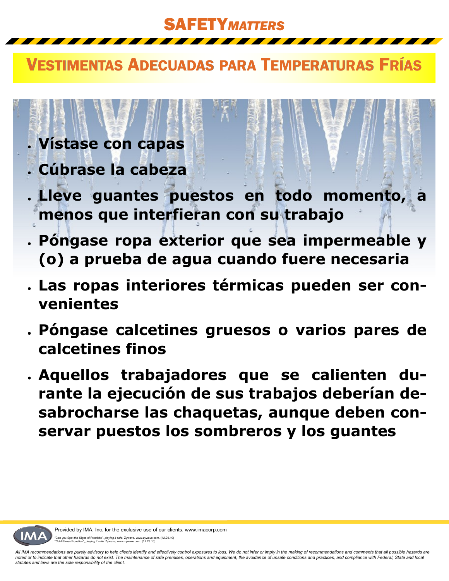SAFETY*MATTERS*

### VESTIMENTAS ADECUADAS PARA TEMPERATURAS FRÍAS

# **Vístase con capas**

- **Cúbrase la cabeza**
- **Lleve guantes puestos en todo momento, menos que interfieran con su trabajo**
- **Póngase ropa exterior que sea impermeable y (o) a prueba de agua cuando fuere necesaria**
- **Las ropas interiores térmicas pueden ser convenientes**
- **Póngase calcetines gruesos o varios pares de calcetines finos**
- **Aquellos trabajadores que se calienten durante la ejecución de sus trabajos deberían desabrocharse las chaquetas, aunque deben conservar puestos los sombreros y los guantes**



Provided by IMA, Inc. for the exclusive use of our clients. www.imacorp.com "Can you Spot the Signs of Frostbite", *playing it safe,* Zywave, www.zywave.com. (12.29.10) "Cold Stress Equation", *playing it safe,* Zywave, www.zywave.com. (12.29.10)